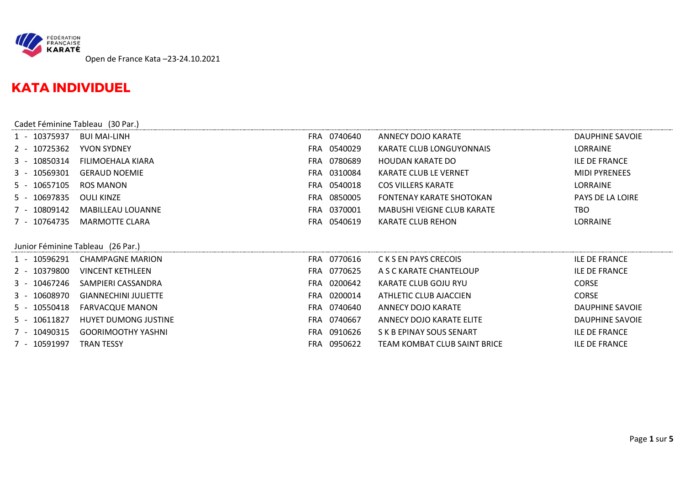

## **KATA INDIVIDUEL**

|              | Cadet Féminine Tableau (30 Par.) |             |                            |                         |
|--------------|----------------------------------|-------------|----------------------------|-------------------------|
| 1 - 10375937 | <b>BUI MAI-LINH</b>              | FRA 0740640 | ANNECY DOJO KARATE         | DAUPHINE SAVOIE         |
| 2 - 10725362 | <b>YVON SYDNEY</b>               | FRA 0540029 | KARATE CLUB LONGUYONNAIS   | LORRAINE                |
| 3 - 10850314 | FILIMOEHALA KIARA                | FRA 0780689 | HOUDAN KARATE DO           | <b>ILE DE FRANCE</b>    |
| 3 - 10569301 | <b>GERAUD NOEMIE</b>             | FRA 0310084 | KARATE CLUB LE VERNET      | <b>MIDI PYRENEES</b>    |
| 5 - 10657105 | ROS MANON                        | FRA 0540018 | <b>COS VILLERS KARATE</b>  | <b>LORRAINE</b>         |
| 5 - 10697835 | <b>OULI KINZE</b>                | FRA 0850005 | FONTENAY KARATE SHOTOKAN   | <b>PAYS DE LA LOIRE</b> |
| 7 - 10809142 | MABILLEAU LOUANNE                | FRA 0370001 | MABUSHI VEIGNE CLUB KARATE | <b>TBO</b>              |
| 7 - 10764735 | MARMOTTE CLARA                   | FRA 0540619 | KARATE CLUB REHON          | <b>LORRAINE</b>         |

## Junior Féminine Tableau (26 Par.)

| 1 - 10596291 | <b>CHAMPAGNE MARION</b>     |            | FRA 0770616 | C K S EN PAYS CRECOIS        | ILE DE FRANCE        |
|--------------|-----------------------------|------------|-------------|------------------------------|----------------------|
| 2 - 10379800 | <b>VINCENT KETHLEEN</b>     |            | FRA 0770625 | A S C KARATE CHANTELOUP      | ILE DE FRANCE        |
| 3 - 10467246 | SAMPIERI CASSANDRA          | FRA        | 0200642     | KARATE CLUB GOJU RYU         | <b>CORSE</b>         |
| 3 - 10608970 | <b>GIANNECHINI JULIETTE</b> |            | FRA 0200014 | ATHLETIC CLUB AJACCIEN       | <b>CORSE</b>         |
| 5 - 10550418 | FARVACQUE MANON             |            | FRA 0740640 | ANNECY DOJO KARATE           | DAUPHINE SAVOIE      |
| 5 - 10611827 | HUYET DUMONG JUSTINE        |            | FRA 0740667 | ANNECY DOJO KARATE ELITE     | DAUPHINE SAVOIE      |
| 7 - 10490315 | <b>GOORIMOOTHY YASHNI</b>   | FRA        | 0910626     | S K B EPINAY SOUS SENART     | <b>ILE DE FRANCE</b> |
| 7 - 10591997 | <b>TRAN TESSY</b>           | <b>FRA</b> | 0950622     | TEAM KOMBAT CLUB SAINT BRICE | ILE DE FRANCE        |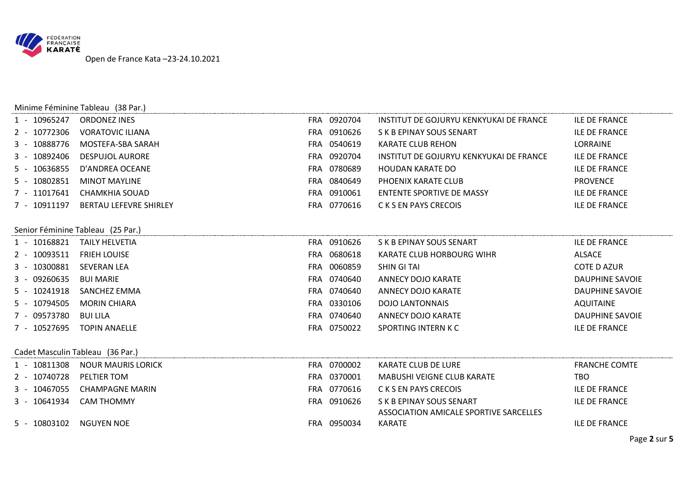

|                   | Minime Féminine Tableau (38 Par.) |             |                                         |                        |
|-------------------|-----------------------------------|-------------|-----------------------------------------|------------------------|
| 1 - 10965247      | <b>ORDONEZ INES</b>               | FRA 0920704 | INSTITUT DE GOJURYU KENKYUKAI DE FRANCE | <b>ILE DE FRANCE</b>   |
| 2 - 10772306      | <b>VORATOVIC ILIANA</b>           | FRA 0910626 | S K B EPINAY SOUS SENART                | <b>ILE DE FRANCE</b>   |
| 10888776          | MOSTEFA-SBA SARAH                 | FRA 0540619 | KARATE CLUB REHON                       | LORRAINE               |
| 10892406<br>$3 -$ | <b>DESPUJOL AURORE</b>            | FRA 0920704 | INSTITUT DE GOJURYU KENKYUKAI DE FRANCE | <b>ILE DE FRANCE</b>   |
| 10636855<br>$5 -$ | D'ANDREA OCEANE                   | FRA 0780689 | <b>HOUDAN KARATE DO</b>                 | <b>ILE DE FRANCE</b>   |
| 10802851<br>$5 -$ | <b>MINOT MAYLINE</b>              | FRA 0840649 | PHOENIX KARATE CLUB                     | <b>PROVENCE</b>        |
| 7 - 11017641      | <b>CHAMKHIA SOUAD</b>             | FRA 0910061 | <b>ENTENTE SPORTIVE DE MASSY</b>        | <b>ILE DE FRANCE</b>   |
| 7 - 10911197      | <b>BERTAU LEFEVRE SHIRLEY</b>     | FRA 0770616 | C K S EN PAYS CRECOIS                   | <b>ILE DE FRANCE</b>   |
|                   |                                   |             |                                         |                        |
|                   | Senior Féminine Tableau (25 Par.) |             |                                         |                        |
| 1 - 10168821      | TAILY HELVETIA                    | FRA 0910626 | S K B EPINAY SOUS SENART                | <b>ILE DE FRANCE</b>   |
| 2 - 10093511      | <b>FRIEH LOUISE</b>               | FRA 0680618 | KARATE CLUB HORBOURG WIHR               | <b>ALSACE</b>          |
| 3 - 10300881      | <b>SEVERAN LEA</b>                | FRA 0060859 | SHIN GI TAI                             | COTE D AZUR            |
| 3 - 09260635      | <b>BUI MARIE</b>                  | FRA 0740640 | <b>ANNECY DOJO KARATE</b>               | <b>DAUPHINE SAVOIE</b> |
| 5 - 10241918      | SANCHEZ EMMA                      | FRA 0740640 | <b>ANNECY DOJO KARATE</b>               | <b>DAUPHINE SAVOIE</b> |
| 5 - 10794505      | <b>MORIN CHIARA</b>               | FRA 0330106 | <b>DOJO LANTONNAIS</b>                  | AQUITAINE              |
| 7 - 09573780      | <b>BUI LILA</b>                   | FRA 0740640 | <b>ANNECY DOJO KARATE</b>               | DAUPHINE SAVOIE        |
| 7 - 10527695      | <b>TOPIN ANAELLE</b>              | FRA 0750022 | SPORTING INTERN K C                     | <b>ILE DE FRANCE</b>   |
|                   |                                   |             |                                         |                        |
|                   | Cadet Masculin Tableau (36 Par.)  |             |                                         |                        |
| 1 - 10811308      | <b>NOUR MAURIS LORICK</b>         | FRA 0700002 | KARATE CLUB DE LURE                     | <b>FRANCHE COMTE</b>   |
| 2 - 10740728      | PELTIER TOM                       | FRA 0370001 | <b>MABUSHI VEIGNE CLUB KARATE</b>       | <b>TBO</b>             |
| 3 - 10467055      | <b>CHAMPAGNE MARIN</b>            | FRA 0770616 | C K S EN PAYS CRECOIS                   | <b>ILE DE FRANCE</b>   |
| 3 - 10641934      | <b>CAM THOMMY</b>                 | FRA 0910626 | S K B EPINAY SOUS SENART                | <b>ILE DE FRANCE</b>   |
|                   |                                   |             | ASSOCIATION AMICALE SPORTIVE SARCELLES  |                        |
| 5 - 10803102      | NGUYEN NOE                        | FRA 0950034 | KARATE                                  | <b>ILE DE FRANCE</b>   |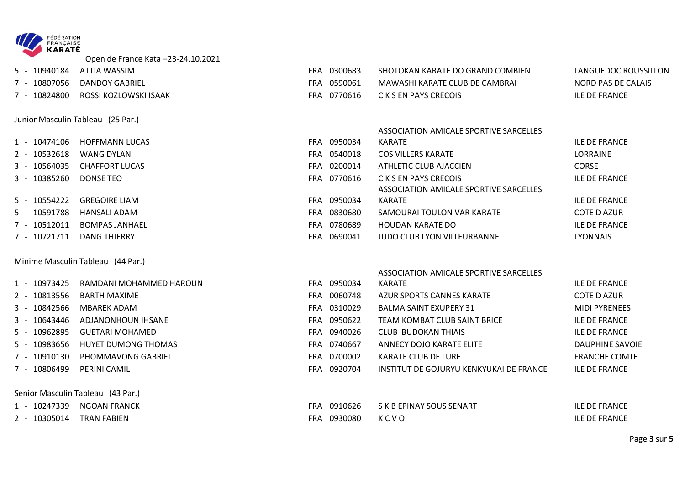

Open de France Kata –23-24.10.2021

| 10940184 | ATTIA WASSIM          | FRA 0300683 | SHOTOKAN KARATE DO GRAND COMBIEN | LANGUEDOC ROUSSILLON |
|----------|-----------------------|-------------|----------------------------------|----------------------|
| 10807056 | DANDOY GABRIEL        | FRA 0590061 | MAWASHI KARATE CLUB DE CAMBRAI   | NORD PAS DE CALAIS   |
| 10824800 | ROSSI KOZLOWSKI ISAAK | FRA 0770616 | C K S EN PAYS CRECOIS            | <b>ILE DE FRANCE</b> |

Junior Masculin Tableau (25 Par.)

|              | Junior Masculin Tableau (25 Par.) |     |             |                                                                 |                      |
|--------------|-----------------------------------|-----|-------------|-----------------------------------------------------------------|----------------------|
|              |                                   |     |             | ASSOCIATION AMICALE SPORTIVE SARCELLES                          |                      |
| 1 - 10474106 | <b>HOFFMANN LUCAS</b>             |     | FRA 0950034 | KARATE                                                          | <b>ILE DE FRANCE</b> |
| 2 - 10532618 | WANG DYLAN                        |     | FRA 0540018 | <b>COS VILLERS KARATE</b>                                       | LORRAINE             |
| 3 - 10564035 | CHAFFORT LUCAS                    |     | FRA 0200014 | ATHLETIC CLUB AJACCIEN                                          | <b>CORSE</b>         |
| 3 - 10385260 | DONSE TEO                         |     | FRA 0770616 | C K S EN PAYS CRECOIS<br>ASSOCIATION AMICALE SPORTIVE SARCELLES | <b>ILE DE FRANCE</b> |
| 5 - 10554222 | <b>GREGOIRE LIAM</b>              |     | FRA 0950034 | KARATE                                                          | <b>ILE DE FRANCE</b> |
| 5 - 10591788 | HANSALI ADAM                      | FRA | 0830680     | SAMOURAI TOULON VAR KARATE                                      | COTE D AZUR          |
| 7 - 10512011 | BOMPAS JANHAEL                    |     | FRA 0780689 | HOUDAN KARATE DO                                                | <b>ILE DE FRANCE</b> |
| 7 - 10721711 | DANG THIERRY                      | FRA | 0690041     | JUDO CLUB LYON VILLEURBANNE                                     | LYONNAIS             |

Minime Masculin Tableau (44 Par.)

|              |                         |            |         | ASSOCIATION AMICALE SPORTIVE SARCELLES  |                      |
|--------------|-------------------------|------------|---------|-----------------------------------------|----------------------|
| 1 - 10973425 | RAMDANI MOHAMMED HAROUN | FRA.       | 0950034 | KARATE                                  | <b>ILE DE FRANCE</b> |
| 2 - 10813556 | BARTH MAXIME            | FRA.       | 0060748 | AZUR SPORTS CANNES KARATE               | COTE D AZUR          |
| 3 - 10842566 | MBAREK ADAM             | FRA        | 0310029 | BALMA SAINT EXUPERY 31                  | <b>MIDI PYRENEES</b> |
| 3 - 10643446 | ADJANONHOUN IHSANE      | FRA.       | 0950622 | TEAM KOMBAT CLUB SAINT BRICE            | <b>ILE DE FRANCE</b> |
| 5 - 10962895 | GUETARI MOHAMED         | <b>FRA</b> | 0940026 | CLUB BUDOKAN THIAIS                     | <b>ILE DE FRANCE</b> |
| 5 - 10983656 | HUYET DUMONG THOMAS     | <b>FRA</b> | 0740667 | ANNECY DOJO KARATE ELITE                | DAUPHINE SAVOIE      |
| 7 - 10910130 | PHOMMAVONG GABRIEL      | <b>FRA</b> | 0700002 | KARATE CLUB DE LURE                     | <b>FRANCHE COMTE</b> |
| 7 - 10806499 | PERINI CAMIL            | <b>FRA</b> | 0920704 | INSTITUT DE GOJURYU KENKYUKAI DE FRANCE | <b>ILE DE FRANCE</b> |

Senior Masculin Tableau (43 Par.)

|                          | <b>JAN FRANCK</b><br>시ピ | FRA | 0910626 | $\mathsf{NAR}^\intercal$<br>' R FPINAY<br>эĸ | FRANCI |
|--------------------------|-------------------------|-----|---------|----------------------------------------------|--------|
| -01<br>- 130<br><u>.</u> | . FΔRIFN ⊺<br>™RAI      | FRA | 0930080 | $\sim$<br>$\mathcal{V}$<br>ם יו              | ΒANC⊦  |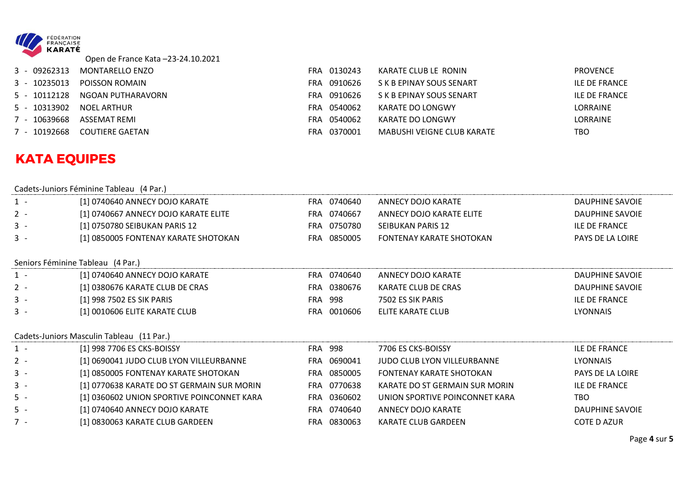

Open de France Kata –23-24.10.2021

| 3 - 09262313      | MONTARELLO ENZO       | FRA.  | 0130243     | KARATE CLUB LE RONIN       | <b>PROVENCE</b>      |
|-------------------|-----------------------|-------|-------------|----------------------------|----------------------|
| 3 - 10235013      | <b>POISSON ROMAIN</b> | FRA   | 0910626     | S K B EPINAY SOUS SENART   | <b>ILE DE FRANCE</b> |
| 5 - 10112128      | NGOAN PUTHARAVORN     |       | FRA 0910626 | S K B EPINAY SOUS SENART   | <b>ILE DE FRANCE</b> |
| 5 - 10313902      | NOEL ARTHUR           |       | FRA 0540062 | KARATE DO LONGWY           | LORRAINE             |
| 10639668<br>$7 -$ | ASSEMAT REMI          |       | FRA 0540062 | KARATE DO LONGWY           | LORRAINE             |
| 7 - 10192668      | COUTIERE GAETAN       | FRA . | 0370001     | MABUSHI VEIGNE CLUB KARATE | TBO                  |

## **KATA EQUIPES**

Cadets-Juniors Féminine Tableau (4 Par.)

| $1 -$ | [1] 0740640 ANNECY DOJO KARATE             |                | FRA 0740640 | ANNECY DOJO KARATE              | DAUPHINE SAVOIE        |
|-------|--------------------------------------------|----------------|-------------|---------------------------------|------------------------|
| $2 -$ | [1] 0740667 ANNECY DOJO KARATE ELITE       |                | FRA 0740667 | ANNECY DOJO KARATE ELITE        | DAUPHINE SAVOIE        |
| $3 -$ | [1] 0750780 SEIBUKAN PARIS 12              | FRA            | 0750780     | SEIBUKAN PARIS 12               | <b>ILE DE FRANCE</b>   |
| $3 -$ | [1] 0850005 FONTENAY KARATE SHOTOKAN       | FRA            | 0850005     | <b>FONTENAY KARATE SHOTOKAN</b> | PAYS DE LA LOIRE       |
|       | Seniors Féminine Tableau (4 Par.)          |                |             |                                 |                        |
| $1 -$ | [1] 0740640 ANNECY DOJO KARATE             |                | FRA 0740640 | ANNECY DOJO KARATE              | DAUPHINE SAVOIE        |
| $2 -$ | [1] 0380676 KARATE CLUB DE CRAS            |                | FRA 0380676 | KARATE CLUB DE CRAS             | <b>DAUPHINE SAVOIE</b> |
| $3 -$ | [1] 998 7502 ES SIK PARIS                  | <b>FRA</b>     | 998         | 7502 ES SIK PARIS               | <b>ILE DE FRANCE</b>   |
| $3 -$ | [1] 0010606 ELITE KARATE CLUB              | FRA            | 0010606     | ELITE KARATE CLUB               | <b>LYONNAIS</b>        |
|       | Cadets-Juniors Masculin Tableau (11 Par.)  |                |             |                                 |                        |
| $1 -$ | [1] 998 7706 ES CKS-BOISSY                 | <b>FRA 998</b> |             | 7706 ES CKS-BOISSY              | <b>ILE DE FRANCE</b>   |
| $2 -$ | [1] 0690041 JUDO CLUB LYON VILLEURBANNE    | FRA            | 0690041     | JUDO CLUB LYON VILLEURBANNE     | <b>LYONNAIS</b>        |
| $3 -$ | [1] 0850005 FONTENAY KARATE SHOTOKAN       | FRA            | 0850005     | <b>FONTENAY KARATE SHOTOKAN</b> | PAYS DE LA LOIRE       |
| $3 -$ | [1] 0770638 KARATE DO ST GERMAIN SUR MORIN | FRA            | 0770638     | KARATE DO ST GERMAIN SUR MORIN  | <b>ILE DE FRANCE</b>   |
| $5 -$ | [1] 0360602 UNION SPORTIVE POINCONNET KARA |                | FRA 0360602 | UNION SPORTIVE POINCONNET KARA  | TBO.                   |
| $5 -$ | [1] 0740640 ANNECY DOJO KARATE             | FRA            | 0740640     | ANNECY DOJO KARATE              | <b>DAUPHINE SAVOIE</b> |
| $7 -$ | [1] 0830063 KARATE CLUB GARDEEN            |                | FRA 0830063 | <b>KARATE CLUB GARDEEN</b>      | <b>COTE D AZUR</b>     |